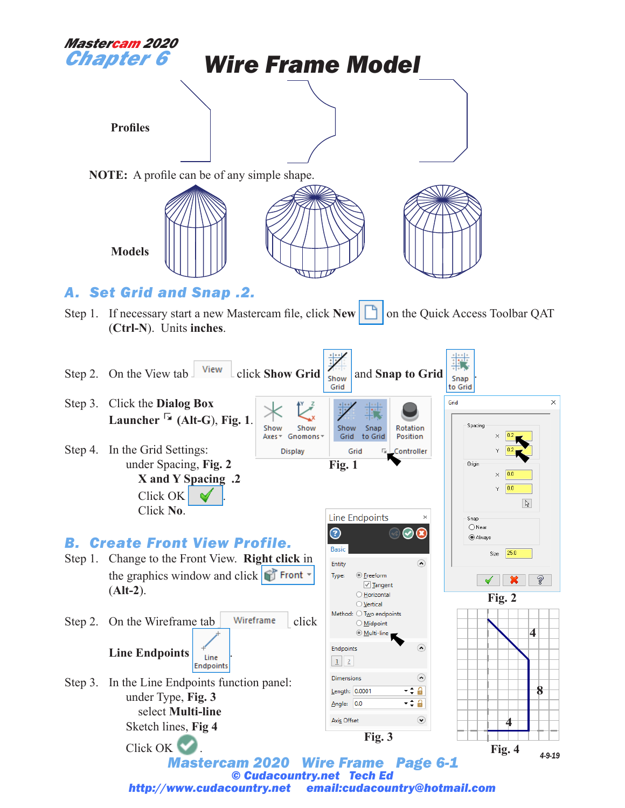